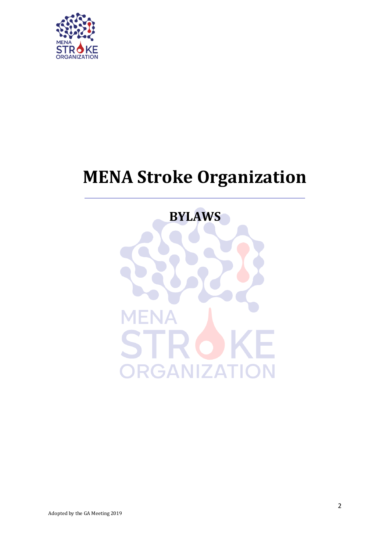

# **MENA Stroke Organization**

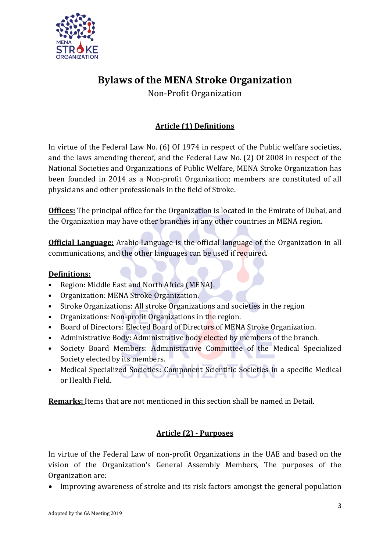

## **Bylaws of the MENA Stroke Organization**

Non-Profit Organization

## **Article (1) Definitions**

In virtue of the Federal Law No. (6) Of 1974 in respect of the Public welfare societies, and the laws amending thereof, and the Federal Law No. (2) Of 2008 in respect of the National Societies and Organizations of Public Welfare, MENA Stroke Organization has been founded in 2014 as a Non-profit Organization; members are constituted of all physicians and other professionals in the field of Stroke.

**Offices:** The principal office for the Organization is located in the Emirate of Dubai, and the Organization may have other branches in any other countries in MENA region.

**Official Language:** Arabic Language is the official language of the Organization in all communications, and the other languages can be used if required.

## **Definitions:**

- Region: Middle East and North Africa (MENA).
- Organization: MENA Stroke Organization.
- Stroke Organizations: All stroke Organizations and societies in the region
- Organizations: Non-profit Organizations in the region.
- Board of Directors: Elected Board of Directors of MENA Stroke Organization.
- Administrative Body: Administrative body elected by members of the branch.
- Society Board Members: Administrative Committee of the Medical Specialized Society elected by its members.
- Medical Specialized Societies: Component Scientific Societies in a specific Medical or Health Field.

**Remarks:** Items that are not mentioned in this section shall be named in Detail.

## **Article (2) - Purposes**

In virtue of the Federal Law of non-profit Organizations in the UAE and based on the vision of the Organization's General Assembly Members, The purposes of the Organization are:

Improving awareness of stroke and its risk factors amongst the general population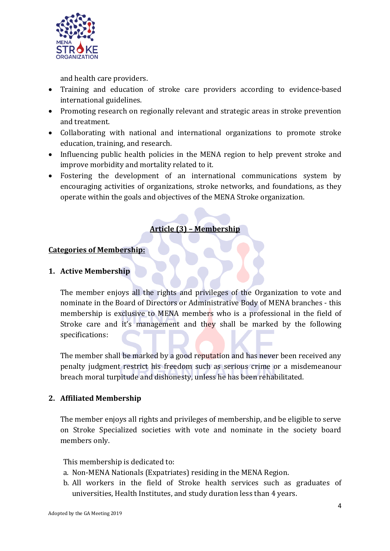

and health care providers.

- Training and education of stroke care providers according to evidence-based international guidelines.
- Promoting research on regionally relevant and strategic areas in stroke prevention and treatment.
- Collaborating with national and international organizations to promote stroke education, training, and research.
- Influencing public health policies in the MENA region to help prevent stroke and improve morbidity and mortality related to it.
- Fostering the development of an international communications system by encouraging activities of organizations, stroke networks, and foundations, as they operate within the goals and objectives of the MENA Stroke organization.

## **Article (3) – Membership**

## **Categories of Membership:**

## **1. Active Membership**

The member enjoys all the rights and privileges of the Organization to vote and nominate in the Board of Directors or Administrative Body of MENA branches - this membership is exclusive to MENA members who is a professional in the field of Stroke care and it's management and they shall be marked by the following specifications:

The member shall be marked by a good reputation and has never been received any penalty judgment restrict his freedom such as serious crime or a misdemeanour breach moral turpitude and dishonesty, unless he has been rehabilitated.

## **2. Affiliated Membership**

The member enjoys all rights and privileges of membership, and be eligible to serve on Stroke Specialized societies with vote and nominate in the society board members only.

This membership is dedicated to:

- a. Non-MENA Nationals (Expatriates) residing in the MENA Region.
- b. All workers in the field of Stroke health services such as graduates of universities, Health Institutes, and study duration less than 4 years.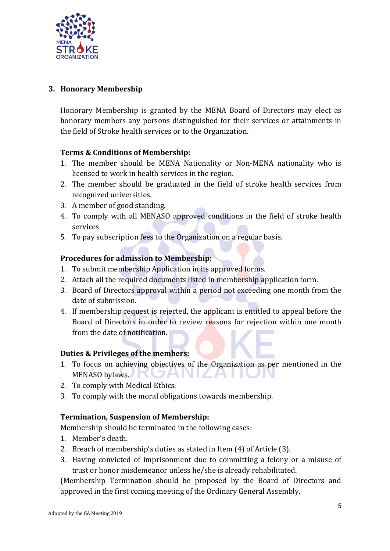

## **3. Honorary Membership**

Honorary Membership is granted by the MENA Board of Directors may elect as honorary members any persons distinguished for their services or attainments in the field of Stroke health services or to the Organization.

#### **Terms & Conditions of Membership:**

- 1. The member should be MENA Nationality or Non-MENA nationality who is licensed to work in health services in the region.
- 2. The member should be graduated in the field of stroke health services from recognized universities.
- 3. A member of good standing.
- 4. To comply with all MENASO approved conditions in the field of stroke health services
- 5. To pay subscription fees to the Organization on a regular basis.

## **Procedures for admission to Membership:**

- 1. To submit membership Application in its approved forms.
- 2. Attach all the required documents listed in membership application form.
- 3. Board of Directors approval within a period not exceeding one month from the date of submission.
- 4. If membership request is rejected, the applicant is entitled to appeal before the Board of Directors in order to review reasons for rejection within one month from the date of notification.

#### **Duties & Privileges of the members:**

- 1. To focus on achieving objectives of the Organization as per mentioned in the MENASO bylaws. ZAN  $\mathbb{R}^2$ - 12
- 2. To comply with Medical Ethics.
- 3. To comply with the moral obligations towards membership.

#### **Termination, Suspension of Membership:**

Membership should be terminated in the following cases:

- 1. Member's death.
- 2. Breach of membership's duties as stated in Item (4) of Article (3).
- 3. Having convicted of imprisonment due to committing a felony or a misuse of trust or honor misdemeanor unless he/she is already rehabilitated.

(Membership Termination should be proposed by the Board of Directors and approved in the first coming meeting of the Ordinary General Assembly.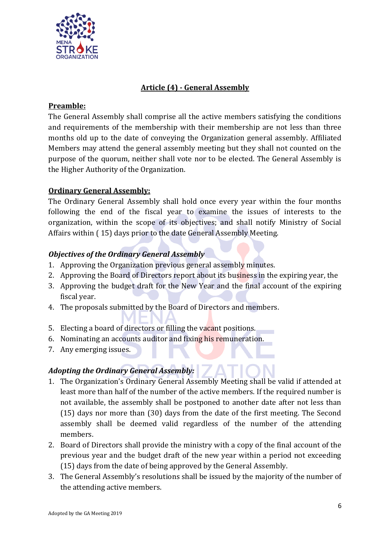

## **Article (4) - General Assembly**

#### **Preamble:**

The General Assembly shall comprise all the active members satisfying the conditions and requirements of the membership with their membership are not less than three months old up to the date of conveying the Organization general assembly. Affiliated Members may attend the general assembly meeting but they shall not counted on the purpose of the quorum, neither shall vote nor to be elected. The General Assembly is the Higher Authority of the Organization.

## **Ordinary General Assembly:**

The Ordinary General Assembly shall hold once every year within the four months following the end of the fiscal year to examine the issues of interests to the organization, within the scope of its objectives; and shall notify Ministry of Social Affairs within ( 15) days prior to the date General Assembly Meeting.

## *Objectives of the Ordinary General Assembly*

- 1. Approving the Organization previous general assembly minutes.
- 2. Approving the Board of Directors report about its business in the expiring year, the
- 3. Approving the budget draft for the New Year and the final account of the expiring fiscal year.
- 4. The proposals submitted by the Board of Directors and members.
- 5. Electing a board of directors or filling the vacant positions.
- 6. Nominating an accounts auditor and fixing his remuneration.
- 7. Any emerging issues.

#### *Adopting the Ordinary General Assembly:*

- 1. The Organization's Ordinary General Assembly Meeting shall be valid if attended at least more than half of the number of the active members. If the required number is not available, the assembly shall be postponed to another date after not less than (15) days nor more than (30) days from the date of the first meeting. The Second assembly shall be deemed valid regardless of the number of the attending members.
- 2. Board of Directors shall provide the ministry with a copy of the final account of the previous year and the budget draft of the new year within a period not exceeding (15) days from the date of being approved by the General Assembly.
- 3. The General Assembly's resolutions shall be issued by the majority of the number of the attending active members.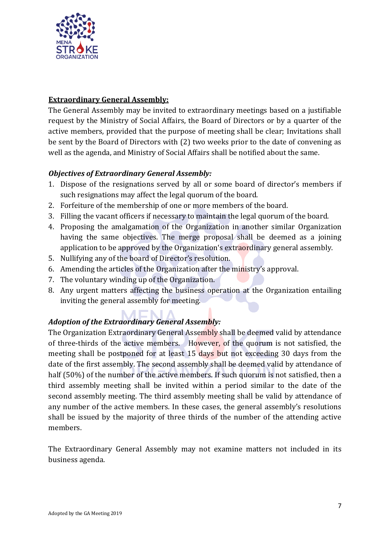

## **Extraordinary General Assembly:**

The General Assembly may be invited to extraordinary meetings based on a justifiable request by the Ministry of Social Affairs, the Board of Directors or by a quarter of the active members, provided that the purpose of meeting shall be clear; Invitations shall be sent by the Board of Directors with (2) two weeks prior to the date of convening as well as the agenda, and Ministry of Social Affairs shall be notified about the same.

## *Objectives of Extraordinary General Assembly:*

- 1. Dispose of the resignations served by all or some board of director's members if such resignations may affect the legal quorum of the board.
- 2. Forfeiture of the membership of one or more members of the board.
- 3. Filling the vacant officers if necessary to maintain the legal quorum of the board.
- 4. Proposing the amalgamation of the Organization in another similar Organization having the same objectives. The merge proposal shall be deemed as a joining application to be approved by the Organization's extraordinary general assembly.
- 5. Nullifying any of the board of Director's resolution.
- 6. Amending the articles of the Organization after the ministry's approval.
- 7. The voluntary winding up of the Organization.
- 8. Any urgent matters affecting the business operation at the Organization entailing inviting the general assembly for meeting.

## *Adoption of the Extraordinary General Assembly:*

The Organization Extraordinary General Assembly shall be deemed valid by attendance of three-thirds of the active members. However, of the quorum is not satisfied, the meeting shall be postponed for at least 15 days but not exceeding 30 days from the date of the first assembly. The second assembly shall be deemed valid by attendance of half (50%) of the number of the active members. If such quorum is not satisfied, then a third assembly meeting shall be invited within a period similar to the date of the second assembly meeting. The third assembly meeting shall be valid by attendance of any number of the active members. In these cases, the general assembly's resolutions shall be issued by the majority of three thirds of the number of the attending active members.

The Extraordinary General Assembly may not examine matters not included in its business agenda.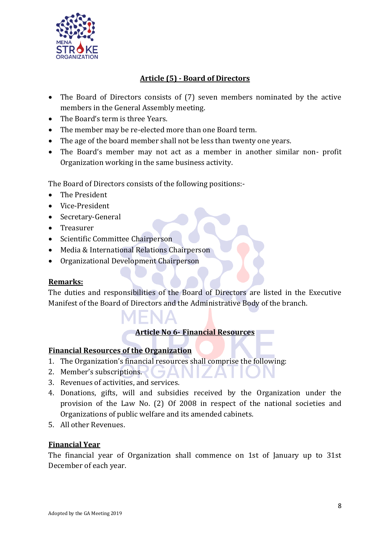

## **Article (5) - Board of Directors**

- The Board of Directors consists of (7) seven members nominated by the active members in the General Assembly meeting.
- The Board's term is three Years.
- The member may be re-elected more than one Board term.
- The age of the board member shall not be less than twenty one years.
- The Board's member may not act as a member in another similar non- profit Organization working in the same business activity.

The Board of Directors consists of the following positions:-

- The President
- Vice-President
- Secretary-General
- Treasurer
- Scientific Committee Chairperson
- Media & International Relations Chairperson
- Organizational Development Chairperson

#### **Remarks:**

The duties and responsibilities of the Board of Directors are listed in the Executive Manifest of the Board of Directors and the Administrative Body of the branch.

#### **Article No 6- Financial Resources**

#### **Financial Resources of the Organization**

- 1. The Organization's financial resources shall comprise the following: **SAL**
- 2. Member's subscriptions.
- 3. Revenues of activities, and services.
- 4. Donations, gifts, will and subsidies received by the Organization under the provision of the Law No. (2) Of 2008 in respect of the national societies and Organizations of public welfare and its amended cabinets.
- 5. All other Revenues.

#### **Financial Year**

The financial year of Organization shall commence on 1st of January up to 31st December of each year.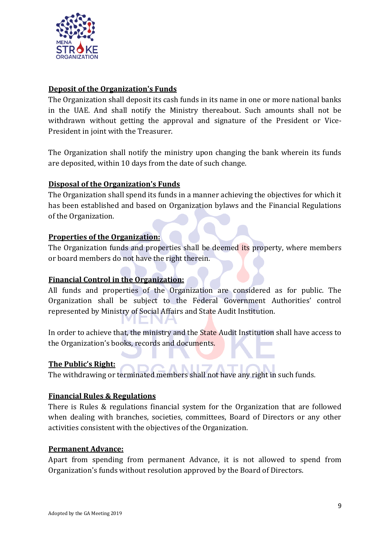

## **Deposit of the Organization's Funds**

The Organization shall deposit its cash funds in its name in one or more national banks in the UAE. And shall notify the Ministry thereabout. Such amounts shall not be withdrawn without getting the approval and signature of the President or Vice-President in joint with the Treasurer.

The Organization shall notify the ministry upon changing the bank wherein its funds are deposited, within 10 days from the date of such change.

#### **Disposal of the Organization's Funds**

The Organization shall spend its funds in a manner achieving the objectives for which it has been established and based on Organization bylaws and the Financial Regulations of the Organization.

#### **Properties of the Organization:**

The Organization funds and properties shall be deemed its property, where members or board members do not have the right therein.

#### **Financial Control in the Organization:**

All funds and properties of the Organization are considered as for public. The Organization shall be subject to the Federal Government Authorities' control represented by Ministry of Social Affairs and State Audit Institution.

In order to achieve that, the ministry and the **State** Audit Institution shall have access to the Organization's books, records and documents.

#### **The Public's Right:**

The withdrawing or terminated members shall not have any right in such funds.

#### **Financial Rules & Regulations**

There is Rules & regulations financial system for the Organization that are followed when dealing with branches, societies, committees, Board of Directors or any other activities consistent with the objectives of the Organization.

#### **Permanent Advance:**

Apart from spending from permanent Advance, it is not allowed to spend from Organization's funds without resolution approved by the Board of Directors.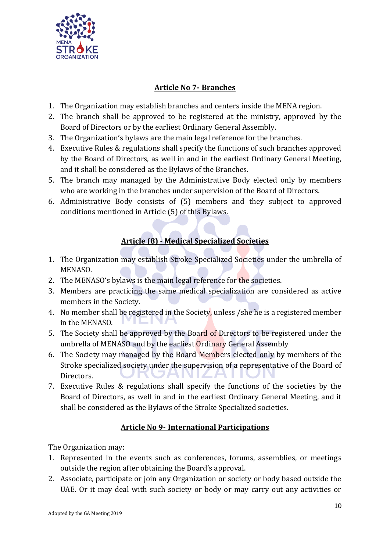

## **Article No 7- Branches**

- 1. The Organization may establish branches and centers inside the MENA region.
- 2. The branch shall be approved to be registered at the ministry, approved by the Board of Directors or by the earliest Ordinary General Assembly.
- 3. The Organization's bylaws are the main legal reference for the branches.
- 4. Executive Rules & regulations shall specify the functions of such branches approved by the Board of Directors, as well in and in the earliest Ordinary General Meeting, and it shall be considered as the Bylaws of the Branches.
- 5. The branch may managed by the Administrative Body elected only by members who are working in the branches under supervision of the Board of Directors.
- 6. Administrative Body consists of (5) members and they subject to approved conditions mentioned in Article (5) of this Bylaws.

## **Article (8) - Medical Specialized Societies**

- 1. The Organization may establish Stroke Specialized Societies under the umbrella of MENASO.
- 2. The MENASO's bylaws is the main legal reference for the societies.
- 3. Members are practicing the same medical specialization are considered as active members in the Society.
- 4. No member shall be registered in the Society, unless /she he is a registered member in the MENASO.
- 5. The Society shall be approved by the Board of Directors to be registered under the umbrella of MENASO and by the earliest Ordinary General Assembly
- 6. The Society may managed by the Board Members elected only by members of the Stroke specialized society under the supervision of a representative of the Board of Directors. NIZ - 1 2 F
- 7. Executive Rules & regulations shall specify the functions of the societies by the Board of Directors, as well in and in the earliest Ordinary General Meeting, and it shall be considered as the Bylaws of the Stroke Specialized societies.

## **Article No 9- International Participations**

The Organization may:

- 1. Represented in the events such as conferences, forums, assemblies, or meetings outside the region after obtaining the Board's approval.
- 2. Associate, participate or join any Organization or society or body based outside the UAE. Or it may deal with such society or body or may carry out any activities or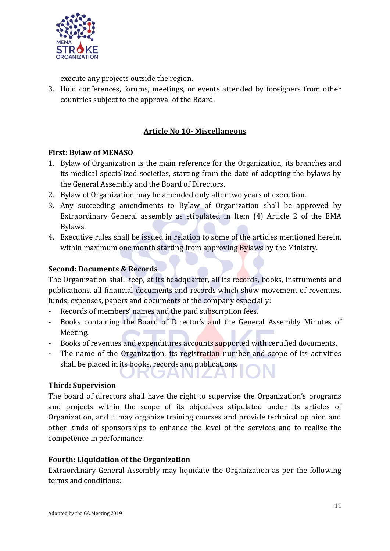

execute any projects outside the region.

3. Hold conferences, forums, meetings, or events attended by foreigners from other countries subject to the approval of the Board.

## **Article No 10- Miscellaneous**

## **First: Bylaw of MENASO**

- 1. Bylaw of Organization is the main reference for the Organization, its branches and its medical specialized societies, starting from the date of adopting the bylaws by the General Assembly and the Board of Directors.
- 2. Bylaw of Organization may be amended only after two years of execution.
- 3. Any succeeding amendments to Bylaw of Organization shall be approved by Extraordinary General assembly as stipulated in Item (4) Article 2 of the EMA Bylaws.
- 4. Executive rules shall be issued in relation to some of the articles mentioned herein, within maximum one month starting from approving **By** laws by the Ministry.

## **Second: Documents & Records**

The Organization shall keep, at its headquarter, all its records, books, instruments and publications, all financial documents and records which show movement of revenues, funds, expenses, papers and documents of the company especially:

- Records of members' names and the paid subscription fees.
- Books containing the Board of Director's and the General Assembly Minutes of Meeting.
- Books of revenues and expenditures accounts supported with certified documents.
- The name of the Organization, its registration number and scope of its activities shall be placed in its books, records and publications.

JANIZAI

#### **Third: Supervision**

The board of directors shall have the right to supervise the Organization's programs and projects within the scope of its objectives stipulated under its articles of Organization, and it may organize training courses and provide technical opinion and other kinds of sponsorships to enhance the level of the services and to realize the competence in performance.

#### **Fourth: Liquidation of the Organization**

Extraordinary General Assembly may liquidate the Organization as per the following terms and conditions: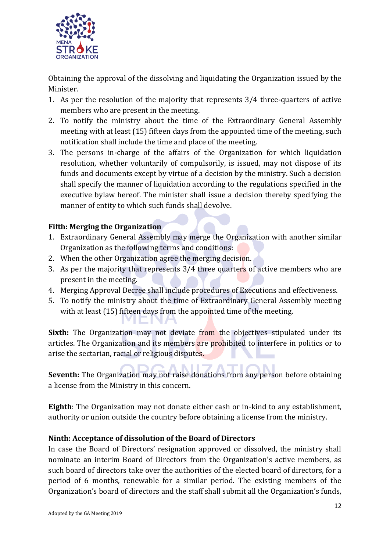

Obtaining the approval of the dissolving and liquidating the Organization issued by the Minister.

- 1. As per the resolution of the majority that represents 3/4 three-quarters of active members who are present in the meeting.
- 2. To notify the ministry about the time of the Extraordinary General Assembly meeting with at least (15) fifteen days from the appointed time of the meeting, such notification shall include the time and place of the meeting.
- 3. The persons in-charge of the affairs of the Organization for which liquidation resolution, whether voluntarily of compulsorily, is issued, may not dispose of its funds and documents except by virtue of a decision by the ministry. Such a decision shall specify the manner of liquidation according to the regulations specified in the executive bylaw hereof. The minister shall issue a decision thereby specifying the manner of entity to which such funds shall devolve.

## **Fifth: Merging the Organization**

- 1. Extraordinary General Assembly may merge the Organization with another similar Organization as the following terms and conditions:
- 2. When the other Organization agree the merging decision.
- 3. As per the majority that represents 3/4 three quarters of active members who are present in the meeting.
- 4. Merging Approval Decree shall include procedures of Executions and effectiveness.
- 5. To notify the ministry about the time of Extraordinary General Assembly meeting with at least (15) fifteen days from the appointed time of the meeting.

**Sixth:** The Organization may not deviate from the objectives stipulated under its articles. The Organization and its members are prohibited to interfere in politics or to arise the sectarian, racial or religious disputes.

**Seventh:** The Organization may not raise donations from any person before obtaining a license from the Ministry in this concern.

**Eighth**: The Organization may not donate either cash or in-kind to any establishment, authority or union outside the country before obtaining a license from the ministry.

#### **Ninth: Acceptance of dissolution of the Board of Directors**

In case the Board of Directors' resignation approved or dissolved, the ministry shall nominate an interim Board of Directors from the Organization's active members, as such board of directors take over the authorities of the elected board of directors, for a period of 6 months, renewable for a similar period. The existing members of the Organization's board of directors and the staff shall submit all the Organization's funds,